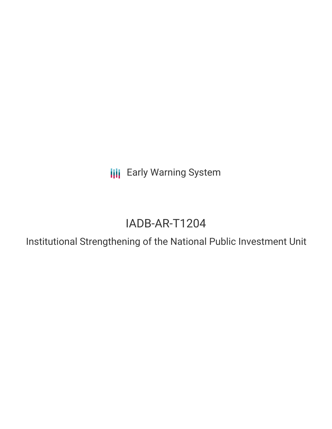**III** Early Warning System

# IADB-AR-T1204

Institutional Strengthening of the National Public Investment Unit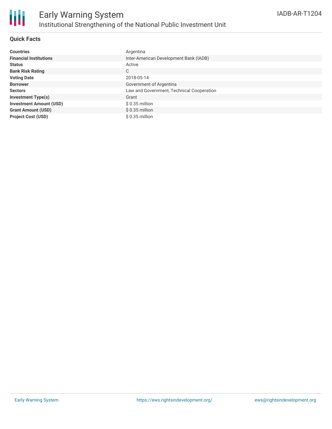

# **Quick Facts**

| <b>Countries</b>               | Argentina                                 |
|--------------------------------|-------------------------------------------|
| <b>Financial Institutions</b>  | Inter-American Development Bank (IADB)    |
| <b>Status</b>                  | Active                                    |
| <b>Bank Risk Rating</b>        | C                                         |
| <b>Voting Date</b>             | 2018-05-14                                |
| <b>Borrower</b>                | Government of Argentina                   |
| <b>Sectors</b>                 | Law and Government, Technical Cooperation |
| <b>Investment Type(s)</b>      | Grant                                     |
| <b>Investment Amount (USD)</b> | $$0.35$ million                           |
| <b>Grant Amount (USD)</b>      | $$0.35$ million                           |
| <b>Project Cost (USD)</b>      | $$0.35$ million                           |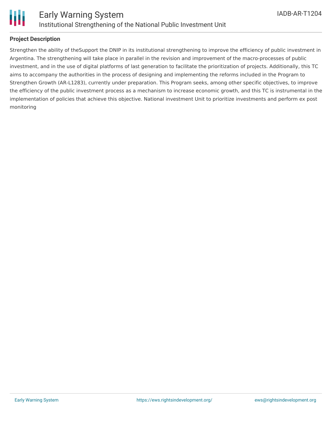

# **Project Description**

Strengthen the ability of theSupport the DNIP in its institutional strengthening to improve the efficiency of public investment in Argentina. The strengthening will take place in parallel in the revision and improvement of the macro-processes of public investment, and in the use of digital platforms of last generation to facilitate the prioritization of projects. Additionally, this TC aims to accompany the authorities in the process of designing and implementing the reforms included in the Program to Strengthen Growth (AR-L1283), currently under preparation. This Program seeks, among other specific objectives, to improve the efficiency of the public investment process as a mechanism to increase economic growth, and this TC is instrumental in the implementation of policies that achieve this objective. National investment Unit to prioritize investments and perform ex post monitoring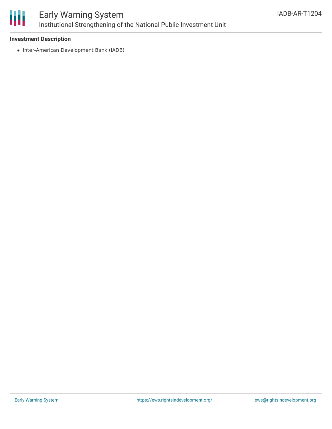

# Early Warning System Institutional Strengthening of the National Public Investment Unit

### **Investment Description**

• Inter-American Development Bank (IADB)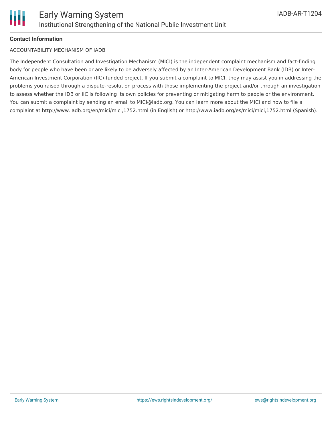# **Contact Information**

# ACCOUNTABILITY MECHANISM OF IADB

The Independent Consultation and Investigation Mechanism (MICI) is the independent complaint mechanism and fact-finding body for people who have been or are likely to be adversely affected by an Inter-American Development Bank (IDB) or Inter-American Investment Corporation (IIC)-funded project. If you submit a complaint to MICI, they may assist you in addressing the problems you raised through a dispute-resolution process with those implementing the project and/or through an investigation to assess whether the IDB or IIC is following its own policies for preventing or mitigating harm to people or the environment. You can submit a complaint by sending an email to MICI@iadb.org. You can learn more about the MICI and how to file a complaint at http://www.iadb.org/en/mici/mici,1752.html (in English) or http://www.iadb.org/es/mici/mici,1752.html (Spanish).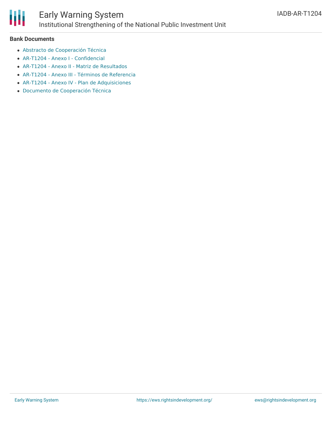

#### **Bank Documents**

- Abstracto de [Cooperación](http://idbdocs.iadb.org/wsdocs/getdocument.aspx?docnum=EZSHARE-1617068821-3) Técnica
- AR-T1204 Anexo I [Confidencial](https://www.iadb.org/Document.cfm?id=EZSHARE-1617068821-13)
- AR-T1204 Anexo II Matriz de [Resultados](https://www.iadb.org/Document.cfm?id=EZSHARE-1617068821-4)
- AR-T1204 Anexo III Términos de [Referencia](https://www.iadb.org/Document.cfm?id=EZSHARE-1617068821-5)
- AR-T1204 Anexo IV Plan de [Adquisiciones](https://www.iadb.org/Document.cfm?id=EZSHARE-1617068821-6)
- Documento de [Cooperación](http://idbdocs.iadb.org/wsdocs/getdocument.aspx?docnum=EZSHARE-1617068821-14) Técnica